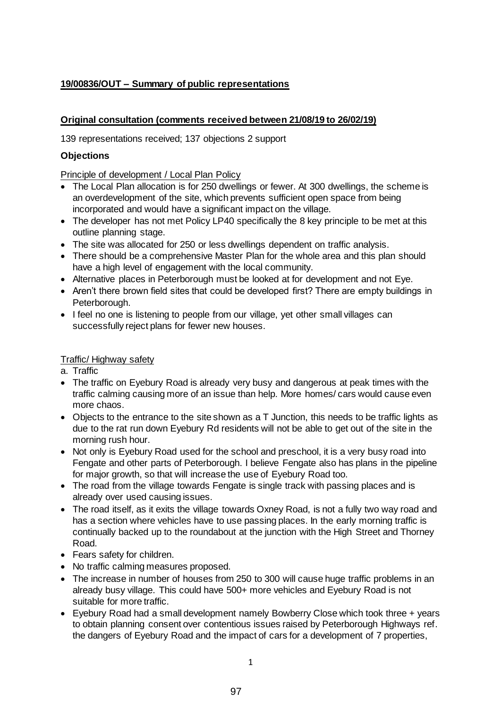# **19/00836/OUT – Summary of public representations**

### **Original consultation (comments received between 21/08/19 to 26/02/19)**

139 representations received; 137 objections 2 support

### **Objections**

Principle of development / Local Plan Policy

- The Local Plan allocation is for 250 dwellings or fewer. At 300 dwellings, the scheme is an overdevelopment of the site, which prevents sufficient open space from being incorporated and would have a significant impact on the village.
- The developer has not met Policy LP40 specifically the 8 key principle to be met at this outline planning stage.
- The site was allocated for 250 or less dwellings dependent on traffic analysis.
- There should be a comprehensive Master Plan for the whole area and this plan should have a high level of engagement with the local community.
- Alternative places in Peterborough must be looked at for development and not Eye.
- Aren't there brown field sites that could be developed first? There are empty buildings in Peterborough.
- I feel no one is listening to people from our village, yet other small villages can successfully reject plans for fewer new houses.

### Traffic/ Highway safety

- a. Traffic
- The traffic on Eyebury Road is already very busy and dangerous at peak times with the traffic calming causing more of an issue than help. More homes/ cars would cause even more chaos.
- Objects to the entrance to the site shown as a T Junction, this needs to be traffic lights as due to the rat run down Eyebury Rd residents will not be able to get out of the site in the morning rush hour.
- Not only is Eyebury Road used for the school and preschool, it is a very busy road into Fengate and other parts of Peterborough. I believe Fengate also has plans in the pipeline for major growth, so that will increase the use of Eyebury Road too.
- The road from the village towards Fengate is single track with passing places and is already over used causing issues.
- The road itself, as it exits the village towards Oxney Road, is not a fully two way road and has a section where vehicles have to use passing places. In the early morning traffic is continually backed up to the roundabout at the junction with the High Street and Thorney Road.
- Fears safety for children.
- No traffic calming measures proposed.
- The increase in number of houses from 250 to 300 will cause huge traffic problems in an already busy village. This could have 500+ more vehicles and Eyebury Road is not suitable for more traffic.
- Eyebury Road had a small development namely Bowberry Close which took three + years to obtain planning consent over contentious issues raised by Peterborough Highways ref. the dangers of Eyebury Road and the impact of cars for a development of 7 properties,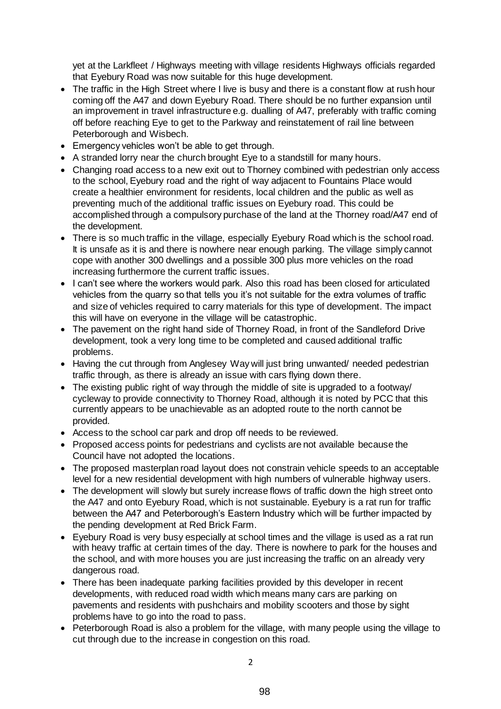yet at the Larkfleet / Highways meeting with village residents Highways officials regarded that Eyebury Road was now suitable for this huge development.

- The traffic in the High Street where I live is busy and there is a constant flow at rush hour coming off the A47 and down Eyebury Road. There should be no further expansion until an improvement in travel infrastructure e.g. dualling of A47, preferably with traffic coming off before reaching Eye to get to the Parkway and reinstatement of rail line between Peterborough and Wisbech.
- Emergency vehicles won't be able to get through.
- A stranded lorry near the church brought Eye to a standstill for many hours.
- Changing road access to a new exit out to Thorney combined with pedestrian only access to the school, Eyebury road and the right of way adjacent to Fountains Place would create a healthier environment for residents, local children and the public as well as preventing much of the additional traffic issues on Eyebury road. This could be accomplished through a compulsory purchase of the land at the Thorney road/A47 end of the development.
- There is so much traffic in the village, especially Eyebury Road which is the school road. It is unsafe as it is and there is nowhere near enough parking. The village simply cannot cope with another 300 dwellings and a possible 300 plus more vehicles on the road increasing furthermore the current traffic issues.
- I can't see where the workers would park. Also this road has been closed for articulated vehicles from the quarry so that tells you it's not suitable for the extra volumes of traffic and size of vehicles required to carry materials for this type of development. The impact this will have on everyone in the village will be catastrophic.
- The pavement on the right hand side of Thorney Road, in front of the Sandleford Drive development, took a very long time to be completed and caused additional traffic problems.
- Having the cut through from Anglesey Way will just bring unwanted/ needed pedestrian traffic through, as there is already an issue with cars flying down there.
- The existing public right of way through the middle of site is upgraded to a footway/ cycleway to provide connectivity to Thorney Road, although it is noted by PCC that this currently appears to be unachievable as an adopted route to the north cannot be provided.
- Access to the school car park and drop off needs to be reviewed.
- Proposed access points for pedestrians and cyclists are not available because the Council have not adopted the locations.
- The proposed masterplan road layout does not constrain vehicle speeds to an acceptable level for a new residential development with high numbers of vulnerable highway users.
- The development will slowly but surely increase flows of traffic down the high street onto the A47 and onto Eyebury Road, which is not sustainable. Eyebury is a rat run for traffic between the A47 and Peterborough's Eastern Industry which will be further impacted by the pending development at Red Brick Farm.
- Eyebury Road is very busy especially at school times and the village is used as a rat run with heavy traffic at certain times of the day. There is nowhere to park for the houses and the school, and with more houses you are just increasing the traffic on an already very dangerous road.
- There has been inadequate parking facilities provided by this developer in recent developments, with reduced road width which means many cars are parking on pavements and residents with pushchairs and mobility scooters and those by sight problems have to go into the road to pass.
- Peterborough Road is also a problem for the village, with many people using the village to cut through due to the increase in congestion on this road.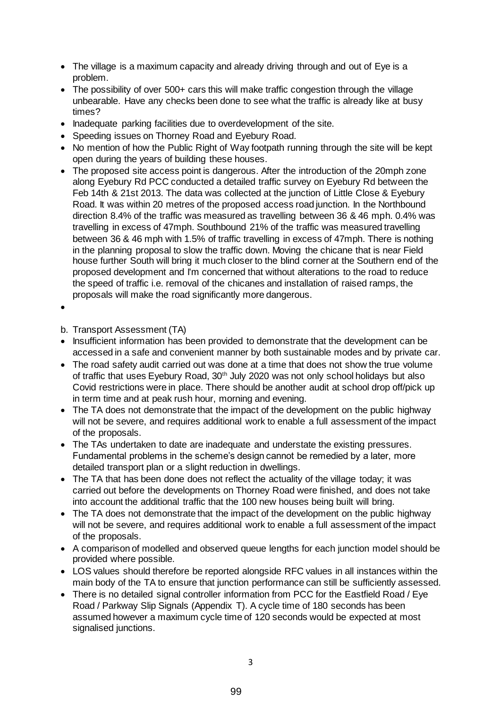- The village is a maximum capacity and already driving through and out of Eye is a problem.
- The possibility of over 500+ cars this will make traffic congestion through the village unbearable. Have any checks been done to see what the traffic is already like at busy times?
- Inadequate parking facilities due to overdevelopment of the site.
- Speeding issues on Thorney Road and Eyebury Road.
- No mention of how the Public Right of Way footpath running through the site will be kept open during the years of building these houses.
- The proposed site access point is dangerous. After the introduction of the 20mph zone along Eyebury Rd PCC conducted a detailed traffic survey on Eyebury Rd between the Feb 14th & 21st 2013. The data was collected at the junction of Little Close & Eyebury Road. It was within 20 metres of the proposed access road junction. In the Northbound direction 8.4% of the traffic was measured as travelling between 36 & 46 mph. 0.4% was travelling in excess of 47mph. Southbound 21% of the traffic was measured travelling between 36 & 46 mph with 1.5% of traffic travelling in excess of 47mph. There is nothing in the planning proposal to slow the traffic down. Moving the chicane that is near Field house further South will bring it much closer to the blind corner at the Southern end of the proposed development and I'm concerned that without alterations to the road to reduce the speed of traffic i.e. removal of the chicanes and installation of raised ramps, the proposals will make the road significantly more dangerous.
- $\bullet$

b. Transport Assessment (TA)

- Insufficient information has been provided to demonstrate that the development can be accessed in a safe and convenient manner by both sustainable modes and by private car.
- The road safety audit carried out was done at a time that does not show the true volume of traffic that uses Eyebury Road, 30<sup>th</sup> July 2020 was not only school holidays but also Covid restrictions were in place. There should be another audit at school drop off/pick up in term time and at peak rush hour, morning and evening.
- The TA does not demonstrate that the impact of the development on the public highway will not be severe, and requires additional work to enable a full assessment of the impact of the proposals.
- The TAs undertaken to date are inadequate and understate the existing pressures. Fundamental problems in the scheme's design cannot be remedied by a later, more detailed transport plan or a slight reduction in dwellings.
- The TA that has been done does not reflect the actuality of the village today; it was carried out before the developments on Thorney Road were finished, and does not take into account the additional traffic that the 100 new houses being built will bring.
- The TA does not demonstrate that the impact of the development on the public highway will not be severe, and requires additional work to enable a full assessment of the impact of the proposals.
- A comparison of modelled and observed queue lengths for each junction model should be provided where possible.
- LOS values should therefore be reported alongside RFC values in all instances within the main body of the TA to ensure that junction performance can still be sufficiently assessed.
- There is no detailed signal controller information from PCC for the Eastfield Road / Eye Road / Parkway Slip Signals (Appendix T). A cycle time of 180 seconds has been assumed however a maximum cycle time of 120 seconds would be expected at most signalised junctions.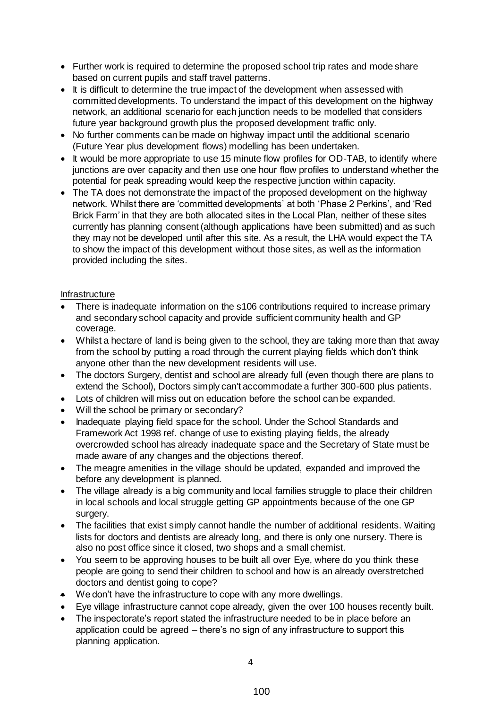- Further work is required to determine the proposed school trip rates and mode share based on current pupils and staff travel patterns.
- It is difficult to determine the true impact of the development when assessed with committed developments. To understand the impact of this development on the highway network, an additional scenario for each junction needs to be modelled that considers future year background growth plus the proposed development traffic only.
- No further comments can be made on highway impact until the additional scenario (Future Year plus development flows) modelling has been undertaken.
- It would be more appropriate to use 15 minute flow profiles for OD-TAB, to identify where junctions are over capacity and then use one hour flow profiles to understand whether the potential for peak spreading would keep the respective junction within capacity.
- The TA does not demonstrate the impact of the proposed development on the highway network. Whilst there are 'committed developments' at both 'Phase 2 Perkins', and 'Red Brick Farm' in that they are both allocated sites in the Local Plan, neither of these sites currently has planning consent (although applications have been submitted) and as such they may not be developed until after this site. As a result, the LHA would expect the TA to show the impact of this development without those sites, as well as the information provided including the sites.

### Infrastructure

- There is inadequate information on the s106 contributions required to increase primary and secondary school capacity and provide sufficient community health and GP coverage.
- Whilst a hectare of land is being given to the school, they are taking more than that away from the school by putting a road through the current playing fields which don't think anyone other than the new development residents will use.
- The doctors Surgery, dentist and school are already full (even though there are plans to extend the School), Doctors simply can't accommodate a further 300-600 plus patients.
- Lots of children will miss out on education before the school can be expanded.
- Will the school be primary or secondary?
- Inadequate playing field space for the school. Under the School Standards and Framework Act 1998 ref. change of use to existing playing fields, the already overcrowded school has already inadequate space and the Secretary of State must be made aware of any changes and the objections thereof.
- The meagre amenities in the village should be updated, expanded and improved the before any development is planned.
- The village already is a big community and local families struggle to place their children in local schools and local struggle getting GP appointments because of the one GP surgery.
- The facilities that exist simply cannot handle the number of additional residents. Waiting lists for doctors and dentists are already long, and there is only one nursery. There is also no post office since it closed, two shops and a small chemist.
- You seem to be approving houses to be built all over Eye, where do you think these people are going to send their children to school and how is an already overstretched doctors and dentist going to cope?
- We don't have the infrastructure to cope with any more dwellings.
- Eye village infrastructure cannot cope already, given the over 100 houses recently built.
- The inspectorate's report stated the infrastructure needed to be in place before an application could be agreed – there's no sign of any infrastructure to support this planning application.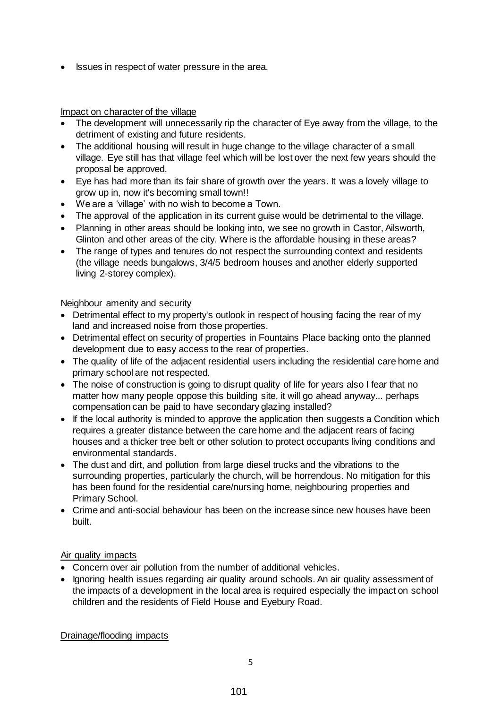• Issues in respect of water pressure in the area.

#### Impact on character of the village

- The development will unnecessarily rip the character of Eye away from the village, to the detriment of existing and future residents.
- The additional housing will result in huge change to the village character of a small village. Eye still has that village feel which will be lost over the next few years should the proposal be approved.
- Eye has had more than its fair share of growth over the years. It was a lovely village to grow up in, now it's becoming small town!!
- We are a 'village' with no wish to become a Town.
- The approval of the application in its current guise would be detrimental to the village.
- Planning in other areas should be looking into, we see no growth in Castor, Ailsworth, Glinton and other areas of the city. Where is the affordable housing in these areas?
- The range of types and tenures do not respect the surrounding context and residents (the village needs bungalows, 3/4/5 bedroom houses and another elderly supported living 2-storey complex).

#### Neighbour amenity and security

- Detrimental effect to my property's outlook in respect of housing facing the rear of my land and increased noise from those properties.
- Detrimental effect on security of properties in Fountains Place backing onto the planned development due to easy access to the rear of properties.
- The quality of life of the adjacent residential users including the residential care home and primary school are not respected.
- The noise of construction is going to disrupt quality of life for years also I fear that no matter how many people oppose this building site, it will go ahead anyway... perhaps compensation can be paid to have secondary glazing installed?
- If the local authority is minded to approve the application then suggests a Condition which requires a greater distance between the care home and the adjacent rears of facing houses and a thicker tree belt or other solution to protect occupants living conditions and environmental standards.
- The dust and dirt, and pollution from large diesel trucks and the vibrations to the surrounding properties, particularly the church, will be horrendous. No mitigation for this has been found for the residential care/nursing home, neighbouring properties and Primary School.
- Crime and anti-social behaviour has been on the increase since new houses have been built.

#### Air quality impacts

- Concern over air pollution from the number of additional vehicles.
- Ignoring health issues regarding air quality around schools. An air quality assessment of the impacts of a development in the local area is required especially the impact on school children and the residents of Field House and Eyebury Road.

Drainage/flooding impacts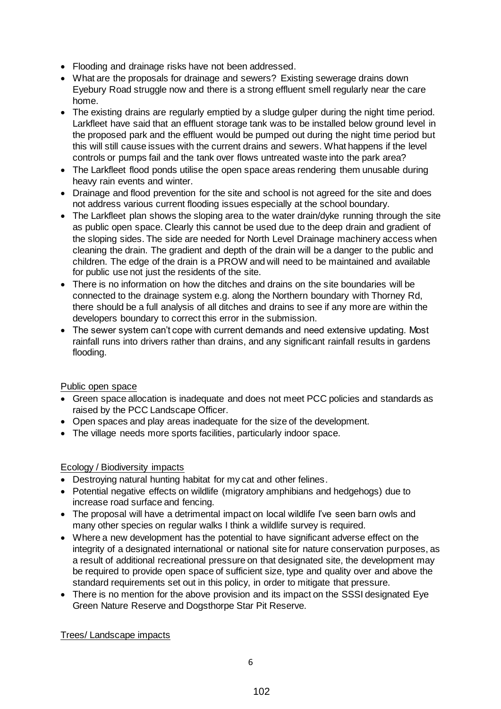- Flooding and drainage risks have not been addressed.
- What are the proposals for drainage and sewers? Existing sewerage drains down Eyebury Road struggle now and there is a strong effluent smell regularly near the care home.
- The existing drains are regularly emptied by a sludge gulper during the night time period. Larkfleet have said that an effluent storage tank was to be installed below ground level in the proposed park and the effluent would be pumped out during the night time period but this will still cause issues with the current drains and sewers. What happens if the level controls or pumps fail and the tank over flows untreated waste into the park area?
- The Larkfleet flood ponds utilise the open space areas rendering them unusable during heavy rain events and winter.
- Drainage and flood prevention for the site and school is not agreed for the site and does not address various current flooding issues especially at the school boundary.
- The Larkfleet plan shows the sloping area to the water drain/dyke running through the site as public open space. Clearly this cannot be used due to the deep drain and gradient of the sloping sides. The side are needed for North Level Drainage machinery access when cleaning the drain. The gradient and depth of the drain will be a danger to the public and children. The edge of the drain is a PROW and will need to be maintained and available for public use not just the residents of the site.
- There is no information on how the ditches and drains on the site boundaries will be connected to the drainage system e.g. along the Northern boundary with Thorney Rd, there should be a full analysis of all ditches and drains to see if any more are within the developers boundary to correct this error in the submission.
- The sewer system can't cope with current demands and need extensive updating. Most rainfall runs into drivers rather than drains, and any significant rainfall results in gardens flooding.

# Public open space

- Green space allocation is inadequate and does not meet PCC policies and standards as raised by the PCC Landscape Officer.
- Open spaces and play areas inadequate for the size of the development.
- The village needs more sports facilities, particularly indoor space.

#### Ecology / Biodiversity impacts

- Destroying natural hunting habitat for my cat and other felines.
- Potential negative effects on wildlife (migratory amphibians and hedgehogs) due to increase road surface and fencing.
- The proposal will have a detrimental impact on local wildlife I've seen barn owls and many other species on regular walks I think a wildlife survey is required.
- Where a new development has the potential to have significant adverse effect on the integrity of a designated international or national site for nature conservation purposes, as a result of additional recreational pressure on that designated site, the development may be required to provide open space of sufficient size, type and quality over and above the standard requirements set out in this policy, in order to mitigate that pressure.
- There is no mention for the above provision and its impact on the SSSI designated Eye Green Nature Reserve and Dogsthorpe Star Pit Reserve.

Trees/ Landscape impacts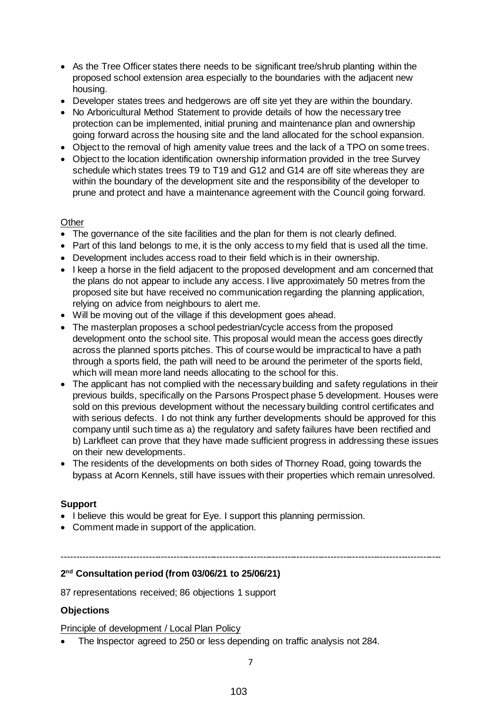- As the Tree Officer states there needs to be significant tree/shrub planting within the proposed school extension area especially to the boundaries with the adjacent new housing.
- Developer states trees and hedgerows are off site yet they are within the boundary.
- No Arboricultural Method Statement to provide details of how the necessary tree protection can be implemented, initial pruning and maintenance plan and ownership going forward across the housing site and the land allocated for the school expansion.
- Object to the removal of high amenity value trees and the lack of a TPO on some trees.
- Object to the location identification ownership information provided in the tree Survey schedule which states trees T9 to T19 and G12 and G14 are off site whereas they are within the boundary of the development site and the responsibility of the developer to prune and protect and have a maintenance agreement with the Council going forward.

### **Other**

- The governance of the site facilities and the plan for them is not clearly defined.
- Part of this land belongs to me, it is the only access to my field that is used all the time.
- Development includes access road to their field which is in their ownership.
- I keep a horse in the field adjacent to the proposed development and am concerned that the plans do not appear to include any access. I live approximately 50 metres from the proposed site but have received no communication regarding the planning application, relying on advice from neighbours to alert me.
- Will be moving out of the village if this development goes ahead.
- The masterplan proposes a school pedestrian/cycle access from the proposed development onto the school site. This proposal would mean the access goes directly across the planned sports pitches. This of course would be impractical to have a path through a sports field, the path will need to be around the perimeter of the sports field, which will mean more land needs allocating to the school for this.
- The applicant has not complied with the necessary building and safety regulations in their previous builds, specifically on the Parsons Prospect phase 5 development. Houses were sold on this previous development without the necessary building control certificates and with serious defects. I do not think any further developments should be approved for this company until such time as a) the regulatory and safety failures have been rectified and b) Larkfleet can prove that they have made sufficient progress in addressing these issues on their new developments.
- The residents of the developments on both sides of Thorney Road, going towards the bypass at Acorn Kennels, still have issues with their properties which remain unresolved.

#### **Support**

- I believe this would be great for Eye. I support this planning permission.
- Comment made in support of the application.

#### ---------------------------------------------------------------------------------------------------------------------------

#### **2 nd Consultation period (from 03/06/21 to 25/06/21)**

87 representations received; 86 objections 1 support

# **Objections**

Principle of development / Local Plan Policy

The Inspector agreed to 250 or less depending on traffic analysis not 284.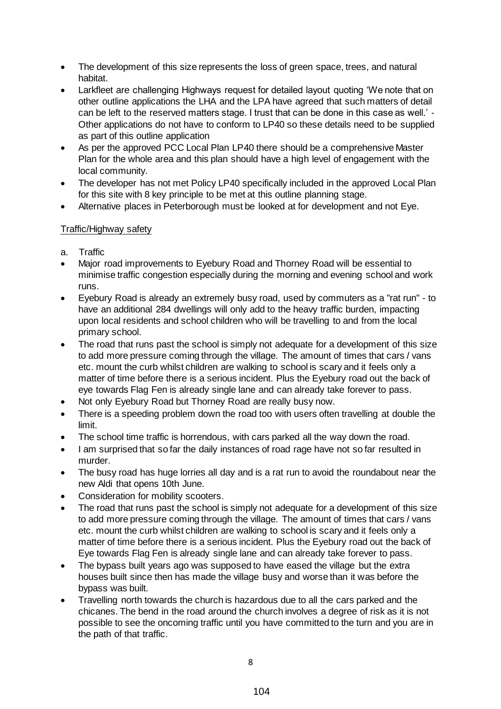- The development of this size represents the loss of green space, trees, and natural habitat.
- Larkfleet are challenging Highways request for detailed layout quoting 'We note that on other outline applications the LHA and the LPA have agreed that such matters of detail can be left to the reserved matters stage. I trust that can be done in this case as well.' - Other applications do not have to conform to LP40 so these details need to be supplied as part of this outline application
- As per the approved PCC Local Plan LP40 there should be a comprehensive Master Plan for the whole area and this plan should have a high level of engagement with the local community.
- The developer has not met Policy LP40 specifically included in the approved Local Plan for this site with 8 key principle to be met at this outline planning stage.
- Alternative places in Peterborough must be looked at for development and not Eye.

# Traffic/Highway safety

- a. Traffic
- Major road improvements to Eyebury Road and Thorney Road will be essential to minimise traffic congestion especially during the morning and evening school and work runs.
- Eyebury Road is already an extremely busy road, used by commuters as a "rat run" to have an additional 284 dwellings will only add to the heavy traffic burden, impacting upon local residents and school children who will be travelling to and from the local primary school.
- The road that runs past the school is simply not adequate for a development of this size to add more pressure coming through the village. The amount of times that cars / vans etc. mount the curb whilst children are walking to school is scary and it feels only a matter of time before there is a serious incident. Plus the Eyebury road out the back of eye towards Flag Fen is already single lane and can already take forever to pass.
- Not only Eyebury Road but Thorney Road are really busy now.
- There is a speeding problem down the road too with users often travelling at double the limit.
- The school time traffic is horrendous, with cars parked all the way down the road.
- I am surprised that so far the daily instances of road rage have not so far resulted in murder.
- The busy road has huge lorries all day and is a rat run to avoid the roundabout near the new Aldi that opens 10th June.
- Consideration for mobility scooters.
- The road that runs past the school is simply not adequate for a development of this size to add more pressure coming through the village. The amount of times that cars / vans etc. mount the curb whilst children are walking to school is scary and it feels only a matter of time before there is a serious incident. Plus the Eyebury road out the back of Eye towards Flag Fen is already single lane and can already take forever to pass.
- The bypass built years ago was supposed to have eased the village but the extra houses built since then has made the village busy and worse than it was before the bypass was built.
- Travelling north towards the church is hazardous due to all the cars parked and the chicanes. The bend in the road around the church involves a degree of risk as it is not possible to see the oncoming traffic until you have committed to the turn and you are in the path of that traffic.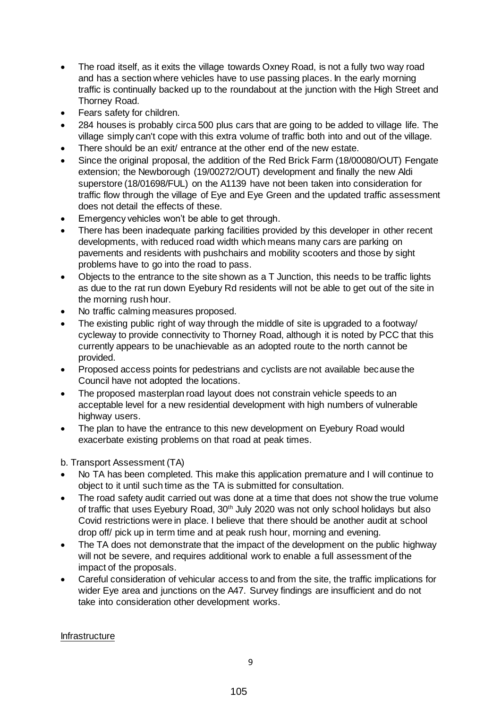- The road itself, as it exits the village towards Oxney Road, is not a fully two way road and has a section where vehicles have to use passing places. In the early morning traffic is continually backed up to the roundabout at the junction with the High Street and Thorney Road.
- Fears safety for children.
- 284 houses is probably circa 500 plus cars that are going to be added to village life. The village simply can't cope with this extra volume of traffic both into and out of the village.
- There should be an exit/ entrance at the other end of the new estate.
- Since the original proposal, the addition of the Red Brick Farm (18/00080/OUT) Fengate extension; the Newborough (19/00272/OUT) development and finally the new Aldi superstore (18/01698/FUL) on the A1139 have not been taken into consideration for traffic flow through the village of Eye and Eye Green and the updated traffic assessment does not detail the effects of these.
- Emergency vehicles won't be able to get through.
- There has been inadequate parking facilities provided by this developer in other recent developments, with reduced road width which means many cars are parking on pavements and residents with pushchairs and mobility scooters and those by sight problems have to go into the road to pass.
- Objects to the entrance to the site shown as a T Junction, this needs to be traffic lights as due to the rat run down Eyebury Rd residents will not be able to get out of the site in the morning rush hour.
- No traffic calming measures proposed.
- The existing public right of way through the middle of site is upgraded to a footway/ cycleway to provide connectivity to Thorney Road, although it is noted by PCC that this currently appears to be unachievable as an adopted route to the north cannot be provided.
- Proposed access points for pedestrians and cyclists are not available because the Council have not adopted the locations.
- The proposed masterplan road layout does not constrain vehicle speeds to an acceptable level for a new residential development with high numbers of vulnerable highway users.
- The plan to have the entrance to this new development on Eyebury Road would exacerbate existing problems on that road at peak times.

b. Transport Assessment (TA)

- No TA has been completed. This make this application premature and I will continue to object to it until such time as the TA is submitted for consultation.
- The road safety audit carried out was done at a time that does not show the true volume of traffic that uses Eyebury Road, 30<sup>th</sup> July 2020 was not only school holidays but also Covid restrictions were in place. I believe that there should be another audit at school drop off/ pick up in term time and at peak rush hour, morning and evening.
- The TA does not demonstrate that the impact of the development on the public highway will not be severe, and requires additional work to enable a full assessment of the impact of the proposals.
- Careful consideration of vehicular access to and from the site, the traffic implications for wider Eye area and junctions on the A47. Survey findings are insufficient and do not take into consideration other development works.

Infrastructure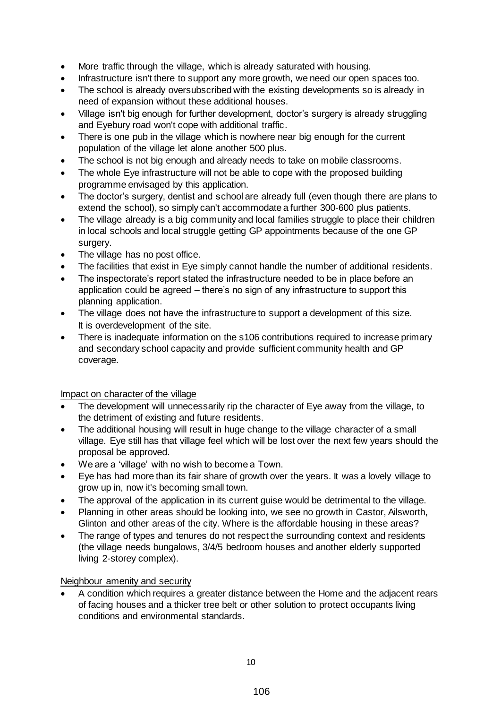- More traffic through the village, which is already saturated with housing.
- Infrastructure isn't there to support any more growth, we need our open spaces too.
- The school is already oversubscribed with the existing developments so is already in need of expansion without these additional houses.
- Village isn't big enough for further development, doctor's surgery is already struggling and Eyebury road won't cope with additional traffic.
- There is one pub in the village which is nowhere near big enough for the current population of the village let alone another 500 plus.
- The school is not big enough and already needs to take on mobile classrooms.
- The whole Eye infrastructure will not be able to cope with the proposed building programme envisaged by this application.
- The doctor's surgery, dentist and school are already full (even though there are plans to extend the school), so simply can't accommodate a further 300-600 plus patients.
- The village already is a big community and local families struggle to place their children in local schools and local struggle getting GP appointments because of the one GP surgery.
- The village has no post office.
- The facilities that exist in Eye simply cannot handle the number of additional residents.
- The inspectorate's report stated the infrastructure needed to be in place before an application could be agreed – there's no sign of any infrastructure to support this planning application.
- The village does not have the infrastructure to support a development of this size. It is overdevelopment of the site.
- There is inadequate information on the s106 contributions required to increase primary and secondary school capacity and provide sufficient community health and GP coverage.

#### Impact on character of the village

- The development will unnecessarily rip the character of Eye away from the village, to the detriment of existing and future residents.
- The additional housing will result in huge change to the village character of a small village. Eye still has that village feel which will be lost over the next few years should the proposal be approved.
- We are a 'village' with no wish to become a Town.
- Eye has had more than its fair share of growth over the years. It was a lovely village to grow up in, now it's becoming small town.
- The approval of the application in its current guise would be detrimental to the village.
- Planning in other areas should be looking into, we see no growth in Castor, Ailsworth, Glinton and other areas of the city. Where is the affordable housing in these areas?
- The range of types and tenures do not respect the surrounding context and residents (the village needs bungalows, 3/4/5 bedroom houses and another elderly supported living 2-storey complex).

#### Neighbour amenity and security

 A condition which requires a greater distance between the Home and the adjacent rears of facing houses and a thicker tree belt or other solution to protect occupants living conditions and environmental standards.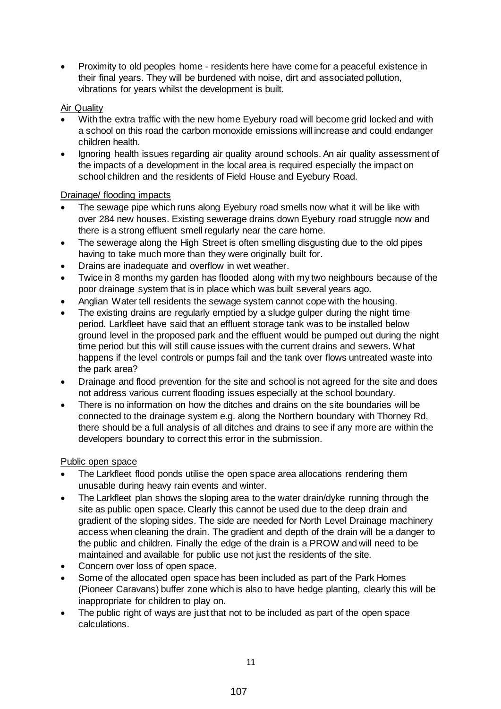Proximity to old peoples home - residents here have come for a peaceful existence in their final years. They will be burdened with noise, dirt and associated pollution, vibrations for years whilst the development is built.

# Air Quality

- With the extra traffic with the new home Eyebury road will become grid locked and with a school on this road the carbon monoxide emissions will increase and could endanger children health.
- Ignoring health issues regarding air quality around schools. An air quality assessment of the impacts of a development in the local area is required especially the impact on school children and the residents of Field House and Eyebury Road.

### Drainage/ flooding impacts

- The sewage pipe which runs along Eyebury road smells now what it will be like with over 284 new houses. Existing sewerage drains down Eyebury road struggle now and there is a strong effluent smell regularly near the care home.
- The sewerage along the High Street is often smelling disgusting due to the old pipes having to take much more than they were originally built for.
- Drains are inadequate and overflow in wet weather.
- Twice in 8 months my garden has flooded along with my two neighbours because of the poor drainage system that is in place which was built several years ago.
- Anglian Water tell residents the sewage system cannot cope with the housing.
- The existing drains are regularly emptied by a sludge gulper during the night time period. Larkfleet have said that an effluent storage tank was to be installed below ground level in the proposed park and the effluent would be pumped out during the night time period but this will still cause issues with the current drains and sewers. What happens if the level controls or pumps fail and the tank over flows untreated waste into the park area?
- Drainage and flood prevention for the site and school is not agreed for the site and does not address various current flooding issues especially at the school boundary.
- There is no information on how the ditches and drains on the site boundaries will be connected to the drainage system e.g. along the Northern boundary with Thorney Rd, there should be a full analysis of all ditches and drains to see if any more are within the developers boundary to correct this error in the submission.

#### Public open space

- The Larkfleet flood ponds utilise the open space area allocations rendering them unusable during heavy rain events and winter.
- The Larkfleet plan shows the sloping area to the water drain/dyke running through the site as public open space. Clearly this cannot be used due to the deep drain and gradient of the sloping sides. The side are needed for North Level Drainage machinery access when cleaning the drain. The gradient and depth of the drain will be a danger to the public and children. Finally the edge of the drain is a PROW and will need to be maintained and available for public use not just the residents of the site.
- Concern over loss of open space.
- Some of the allocated open space has been included as part of the Park Homes (Pioneer Caravans) buffer zone which is also to have hedge planting, clearly this will be inappropriate for children to play on.
- The public right of ways are just that not to be included as part of the open space calculations.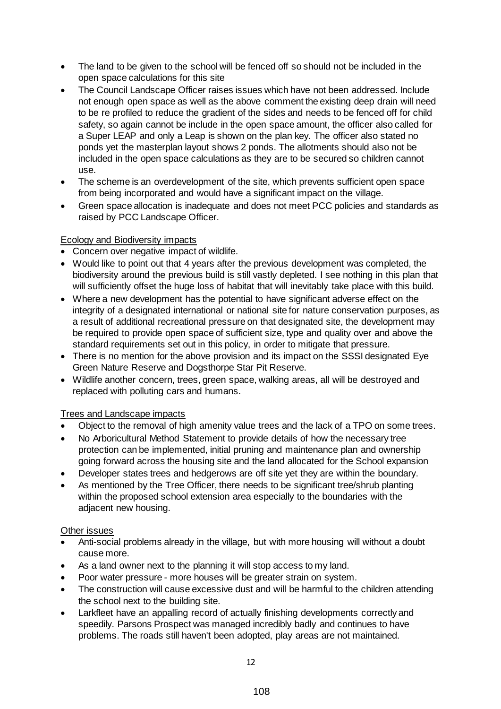- The land to be given to the school will be fenced off so should not be included in the open space calculations for this site
- The Council Landscape Officer raises issues which have not been addressed. Include not enough open space as well as the above comment the existing deep drain will need to be re profiled to reduce the gradient of the sides and needs to be fenced off for child safety, so again cannot be include in the open space amount, the officer also called for a Super LEAP and only a Leap is shown on the plan key. The officer also stated no ponds yet the masterplan layout shows 2 ponds. The allotments should also not be included in the open space calculations as they are to be secured so children cannot use.
- The scheme is an overdevelopment of the site, which prevents sufficient open space from being incorporated and would have a significant impact on the village.
- Green space allocation is inadequate and does not meet PCC policies and standards as raised by PCC Landscape Officer.

### Ecology and Biodiversity impacts

- Concern over negative impact of wildlife.
- Would like to point out that 4 years after the previous development was completed, the biodiversity around the previous build is still vastly depleted. I see nothing in this plan that will sufficiently offset the huge loss of habitat that will inevitably take place with this build.
- Where a new development has the potential to have significant adverse effect on the integrity of a designated international or national site for nature conservation purposes, as a result of additional recreational pressure on that designated site, the development may be required to provide open space of sufficient size, type and quality over and above the standard requirements set out in this policy, in order to mitigate that pressure.
- There is no mention for the above provision and its impact on the SSSI designated Eye Green Nature Reserve and Dogsthorpe Star Pit Reserve.
- Wildlife another concern, trees, green space, walking areas, all will be destroyed and replaced with polluting cars and humans.

# Trees and Landscape impacts

- Object to the removal of high amenity value trees and the lack of a TPO on some trees.
- No Arboricultural Method Statement to provide details of how the necessary tree protection can be implemented, initial pruning and maintenance plan and ownership going forward across the housing site and the land allocated for the School expansion
- Developer states trees and hedgerows are off site yet they are within the boundary.
- As mentioned by the Tree Officer, there needs to be significant tree/shrub planting within the proposed school extension area especially to the boundaries with the adjacent new housing.

#### Other issues

- Anti-social problems already in the village, but with more housing will without a doubt cause more.
- As a land owner next to the planning it will stop access to my land.
- Poor water pressure more houses will be greater strain on system.
- The construction will cause excessive dust and will be harmful to the children attending the school next to the building site.
- Larkfleet have an appalling record of actually finishing developments correctly and speedily. Parsons Prospect was managed incredibly badly and continues to have problems. The roads still haven't been adopted, play areas are not maintained.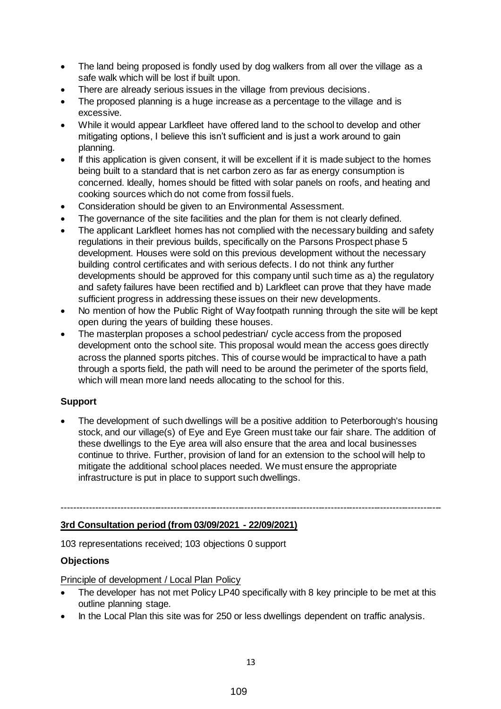- The land being proposed is fondly used by dog walkers from all over the village as a safe walk which will be lost if built upon.
- There are already serious issues in the village from previous decisions.
- The proposed planning is a huge increase as a percentage to the village and is excessive.
- While it would appear Larkfleet have offered land to the school to develop and other mitigating options, I believe this isn't sufficient and is just a work around to gain planning.
- If this application is given consent, it will be excellent if it is made subject to the homes being built to a standard that is net carbon zero as far as energy consumption is concerned. Ideally, homes should be fitted with solar panels on roofs, and heating and cooking sources which do not come from fossil fuels.
- Consideration should be given to an Environmental Assessment.
- The governance of the site facilities and the plan for them is not clearly defined.
- The applicant Larkfleet homes has not complied with the necessary building and safety regulations in their previous builds, specifically on the Parsons Prospect phase 5 development. Houses were sold on this previous development without the necessary building control certificates and with serious defects. I do not think any further developments should be approved for this company until such time as a) the regulatory and safety failures have been rectified and b) Larkfleet can prove that they have made sufficient progress in addressing these issues on their new developments.
- No mention of how the Public Right of Way footpath running through the site will be kept open during the years of building these houses.
- The masterplan proposes a school pedestrian/ cycle access from the proposed development onto the school site. This proposal would mean the access goes directly across the planned sports pitches. This of course would be impractical to have a path through a sports field, the path will need to be around the perimeter of the sports field, which will mean more land needs allocating to the school for this.

# **Support**

 The development of such dwellings will be a positive addition to Peterborough's housing stock, and our village(s) of Eye and Eye Green must take our fair share. The addition of these dwellings to the Eye area will also ensure that the area and local businesses continue to thrive. Further, provision of land for an extension to the school will help to mitigate the additional school places needed. We must ensure the appropriate infrastructure is put in place to support such dwellings.

#### ---------------------------------------------------------------------------------------------------------------------------

#### **3rd Consultation period (from 03/09/2021 - 22/09/2021)**

103 representations received; 103 objections 0 support

#### **Objections**

Principle of development / Local Plan Policy

- The developer has not met Policy LP40 specifically with 8 key principle to be met at this outline planning stage.
- In the Local Plan this site was for 250 or less dwellings dependent on traffic analysis.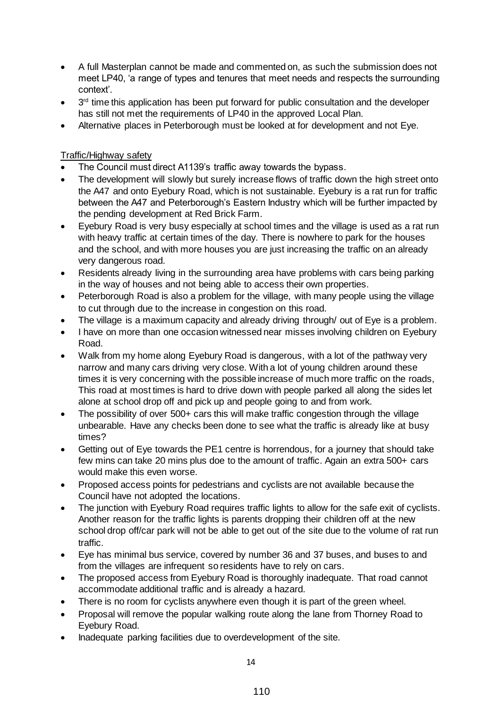- A full Masterplan cannot be made and commented on, as such the submission does not meet LP40, 'a range of types and tenures that meet needs and respects the surrounding context'.
- $\bullet$  3<sup>rd</sup> time this application has been put forward for public consultation and the developer has still not met the requirements of LP40 in the approved Local Plan.
- Alternative places in Peterborough must be looked at for development and not Eye.

# Traffic/Highway safety

- The Council must direct A1139's traffic away towards the bypass.
- The development will slowly but surely increase flows of traffic down the high street onto the A47 and onto Eyebury Road, which is not sustainable. Eyebury is a rat run for traffic between the A47 and Peterborough's Eastern Industry which will be further impacted by the pending development at Red Brick Farm.
- Eyebury Road is very busy especially at school times and the village is used as a rat run with heavy traffic at certain times of the day. There is nowhere to park for the houses and the school, and with more houses you are just increasing the traffic on an already very dangerous road.
- Residents already living in the surrounding area have problems with cars being parking in the way of houses and not being able to access their own properties.
- Peterborough Road is also a problem for the village, with many people using the village to cut through due to the increase in congestion on this road.
- The village is a maximum capacity and already driving through/ out of Eye is a problem.
- I have on more than one occasion witnessed near misses involving children on Eyebury Road.
- Walk from my home along Eyebury Road is dangerous, with a lot of the pathway very narrow and many cars driving very close. With a lot of young children around these times it is very concerning with the possible increase of much more traffic on the roads, This road at most times is hard to drive down with people parked all along the sides let alone at school drop off and pick up and people going to and from work.
- The possibility of over 500+ cars this will make traffic congestion through the village unbearable. Have any checks been done to see what the traffic is already like at busy times?
- Getting out of Eye towards the PE1 centre is horrendous, for a journey that should take few mins can take 20 mins plus doe to the amount of traffic. Again an extra 500+ cars would make this even worse.
- Proposed access points for pedestrians and cyclists are not available because the Council have not adopted the locations.
- The junction with Eyebury Road requires traffic lights to allow for the safe exit of cyclists. Another reason for the traffic lights is parents dropping their children off at the new school drop off/car park will not be able to get out of the site due to the volume of rat run traffic.
- Eye has minimal bus service, covered by number 36 and 37 buses, and buses to and from the villages are infrequent so residents have to rely on cars.
- The proposed access from Eyebury Road is thoroughly inadequate. That road cannot accommodate additional traffic and is already a hazard.
- There is no room for cyclists anywhere even though it is part of the green wheel.
- Proposal will remove the popular walking route along the lane from Thorney Road to Eyebury Road.
- Inadequate parking facilities due to overdevelopment of the site.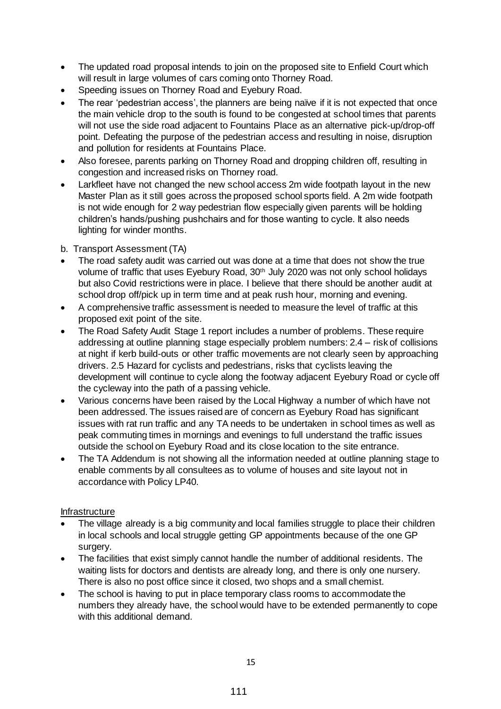- The updated road proposal intends to join on the proposed site to Enfield Court which will result in large volumes of cars coming onto Thorney Road.
- Speeding issues on Thorney Road and Eyebury Road.
- The rear 'pedestrian access', the planners are being naïve if it is not expected that once the main vehicle drop to the south is found to be congested at school times that parents will not use the side road adjacent to Fountains Place as an alternative pick-up/drop-off point. Defeating the purpose of the pedestrian access and resulting in noise, disruption and pollution for residents at Fountains Place.
- Also foresee, parents parking on Thorney Road and dropping children off, resulting in congestion and increased risks on Thorney road.
- Larkfleet have not changed the new school access 2m wide footpath layout in the new Master Plan as it still goes across the proposed school sports field. A 2m wide footpath is not wide enough for 2 way pedestrian flow especially given parents will be holding children's hands/pushing pushchairs and for those wanting to cycle. It also needs lighting for winder months.

b. Transport Assessment (TA)

- The road safety audit was carried out was done at a time that does not show the true volume of traffic that uses Eyebury Road, 30<sup>th</sup> July 2020 was not only school holidays but also Covid restrictions were in place. I believe that there should be another audit at school drop off/pick up in term time and at peak rush hour, morning and evening.
- A comprehensive traffic assessment is needed to measure the level of traffic at this proposed exit point of the site.
- The Road Safety Audit Stage 1 report includes a number of problems. These require addressing at outline planning stage especially problem numbers: 2.4 – risk of collisions at night if kerb build-outs or other traffic movements are not clearly seen by approaching drivers. 2.5 Hazard for cyclists and pedestrians, risks that cyclists leaving the development will continue to cycle along the footway adjacent Eyebury Road or cycle off the cycleway into the path of a passing vehicle.
- Various concerns have been raised by the Local Highway a number of which have not been addressed. The issues raised are of concern as Eyebury Road has significant issues with rat run traffic and any TA needs to be undertaken in school times as well as peak commuting times in mornings and evenings to full understand the traffic issues outside the school on Eyebury Road and its close location to the site entrance.
- The TA Addendum is not showing all the information needed at outline planning stage to enable comments by all consultees as to volume of houses and site layout not in accordance with Policy LP40.

# **Infrastructure**

- The village already is a big community and local families struggle to place their children in local schools and local struggle getting GP appointments because of the one GP surgery.
- The facilities that exist simply cannot handle the number of additional residents. The waiting lists for doctors and dentists are already long, and there is only one nursery. There is also no post office since it closed, two shops and a small chemist.
- The school is having to put in place temporary class rooms to accommodate the numbers they already have, the school would have to be extended permanently to cope with this additional demand.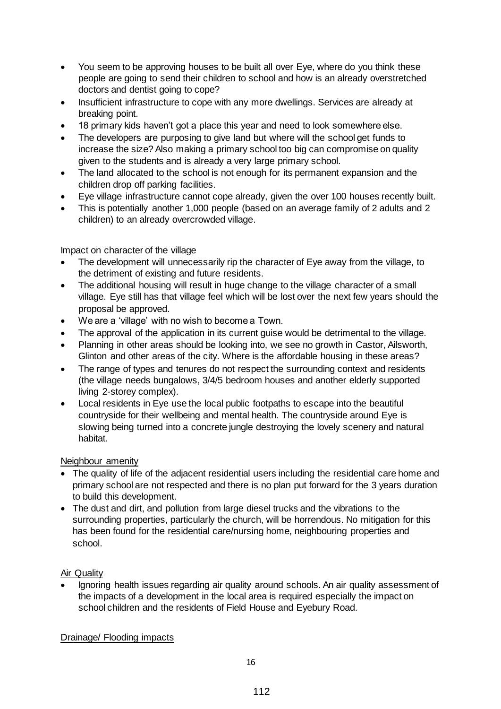- You seem to be approving houses to be built all over Eye, where do you think these people are going to send their children to school and how is an already overstretched doctors and dentist going to cope?
- Insufficient infrastructure to cope with any more dwellings. Services are already at breaking point.
- 18 primary kids haven't got a place this year and need to look somewhere else.
- The developers are purposing to give land but where will the school get funds to increase the size? Also making a primary school too big can compromise on quality given to the students and is already a very large primary school.
- The land allocated to the school is not enough for its permanent expansion and the children drop off parking facilities.
- Eye village infrastructure cannot cope already, given the over 100 houses recently built.
- This is potentially another 1,000 people (based on an average family of 2 adults and 2 children) to an already overcrowded village.

### Impact on character of the village

- The development will unnecessarily rip the character of Eye away from the village, to the detriment of existing and future residents.
- The additional housing will result in huge change to the village character of a small village. Eye still has that village feel which will be lost over the next few years should the proposal be approved.
- We are a 'village' with no wish to become a Town.
- The approval of the application in its current guise would be detrimental to the village.
- Planning in other areas should be looking into, we see no growth in Castor, Ailsworth, Glinton and other areas of the city. Where is the affordable housing in these areas?
- The range of types and tenures do not respect the surrounding context and residents (the village needs bungalows, 3/4/5 bedroom houses and another elderly supported living 2-storey complex).
- Local residents in Eye use the local public footpaths to escape into the beautiful countryside for their wellbeing and mental health. The countryside around Eye is slowing being turned into a concrete jungle destroying the lovely scenery and natural habitat.

# Neighbour amenity

- The quality of life of the adjacent residential users including the residential care home and primary school are not respected and there is no plan put forward for the 3 years duration to build this development.
- The dust and dirt, and pollution from large diesel trucks and the vibrations to the surrounding properties, particularly the church, will be horrendous. No mitigation for this has been found for the residential care/nursing home, neighbouring properties and school.

#### Air Quality

 Ignoring health issues regarding air quality around schools. An air quality assessment of the impacts of a development in the local area is required especially the impact on school children and the residents of Field House and Eyebury Road.

# Drainage/ Flooding impacts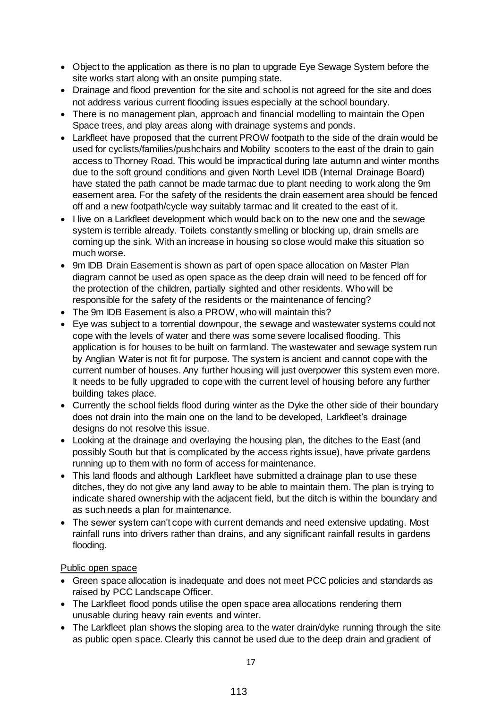- Object to the application as there is no plan to upgrade Eye Sewage System before the site works start along with an onsite pumping state.
- Drainage and flood prevention for the site and school is not agreed for the site and does not address various current flooding issues especially at the school boundary.
- There is no management plan, approach and financial modelling to maintain the Open Space trees, and play areas along with drainage systems and ponds.
- Larkfleet have proposed that the current PROW footpath to the side of the drain would be used for cyclists/families/pushchairs and Mobility scooters to the east of the drain to gain access to Thorney Road. This would be impractical during late autumn and winter months due to the soft ground conditions and given North Level IDB (Internal Drainage Board) have stated the path cannot be made tarmac due to plant needing to work along the 9m easement area. For the safety of the residents the drain easement area should be fenced off and a new footpath/cycle way suitably tarmac and lit created to the east of it.
- I live on a Larkfleet development which would back on to the new one and the sewage system is terrible already. Toilets constantly smelling or blocking up, drain smells are coming up the sink. With an increase in housing so close would make this situation so much worse.
- 9m IDB Drain Easement is shown as part of open space allocation on Master Plan diagram cannot be used as open space as the deep drain will need to be fenced off for the protection of the children, partially sighted and other residents. Who will be responsible for the safety of the residents or the maintenance of fencing?
- The 9m IDB Easement is also a PROW, who will maintain this?
- Eye was subject to a torrential downpour, the sewage and wastewater systems could not cope with the levels of water and there was some severe localised flooding. This application is for houses to be built on farmland. The wastewater and sewage system run by Anglian Water is not fit for purpose. The system is ancient and cannot cope with the current number of houses. Any further housing will just overpower this system even more. It needs to be fully upgraded to cope with the current level of housing before any further building takes place.
- Currently the school fields flood during winter as the Dyke the other side of their boundary does not drain into the main one on the land to be developed, Larkfleet's drainage designs do not resolve this issue.
- Looking at the drainage and overlaying the housing plan, the ditches to the East (and possibly South but that is complicated by the access rights issue), have private gardens running up to them with no form of access for maintenance.
- This land floods and although Larkfleet have submitted a drainage plan to use these ditches, they do not give any land away to be able to maintain them. The plan is trying to indicate shared ownership with the adjacent field, but the ditch is within the boundary and as such needs a plan for maintenance.
- The sewer system can't cope with current demands and need extensive updating. Most rainfall runs into drivers rather than drains, and any significant rainfall results in gardens flooding.

# Public open space

- Green space allocation is inadequate and does not meet PCC policies and standards as raised by PCC Landscape Officer.
- The Larkfleet flood ponds utilise the open space area allocations rendering them unusable during heavy rain events and winter.
- The Larkfleet plan shows the sloping area to the water drain/dyke running through the site as public open space. Clearly this cannot be used due to the deep drain and gradient of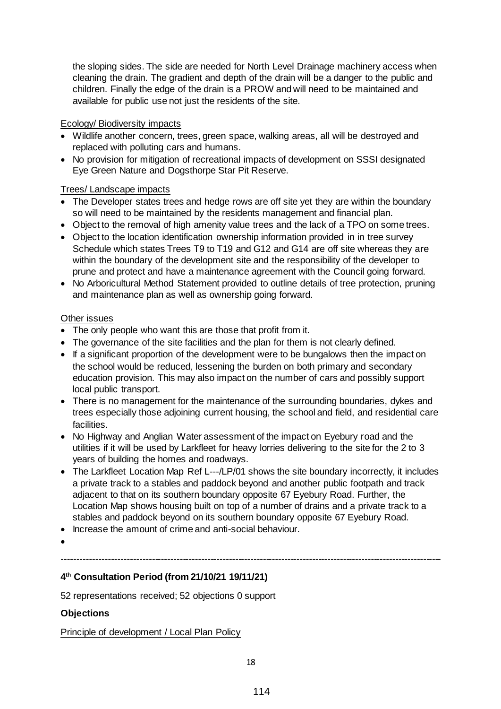the sloping sides. The side are needed for North Level Drainage machinery access when cleaning the drain. The gradient and depth of the drain will be a danger to the public and children. Finally the edge of the drain is a PROW and will need to be maintained and available for public use not just the residents of the site.

# Ecology/ Biodiversity impacts

- Wildlife another concern, trees, green space, walking areas, all will be destroyed and replaced with polluting cars and humans.
- No provision for mitigation of recreational impacts of development on SSSI designated Eye Green Nature and Dogsthorpe Star Pit Reserve.

### Trees/ Landscape impacts

- The Developer states trees and hedge rows are off site yet they are within the boundary so will need to be maintained by the residents management and financial plan.
- Object to the removal of high amenity value trees and the lack of a TPO on some trees.
- Object to the location identification ownership information provided in in tree survey Schedule which states Trees T9 to T19 and G12 and G14 are off site whereas they are within the boundary of the development site and the responsibility of the developer to prune and protect and have a maintenance agreement with the Council going forward.
- No Arboricultural Method Statement provided to outline details of tree protection, pruning and maintenance plan as well as ownership going forward.

#### Other issues

- The only people who want this are those that profit from it.
- The governance of the site facilities and the plan for them is not clearly defined.
- If a significant proportion of the development were to be bungalows then the impact on the school would be reduced, lessening the burden on both primary and secondary education provision. This may also impact on the number of cars and possibly support local public transport.
- There is no management for the maintenance of the surrounding boundaries, dykes and trees especially those adjoining current housing, the school and field, and residential care facilities.
- No Highway and Anglian Water assessment of the impact on Eyebury road and the utilities if it will be used by Larkfleet for heavy lorries delivering to the site for the 2 to 3 years of building the homes and roadways.
- The Larkfleet Location Map Ref L---/LP/01 shows the site boundary incorrectly, it includes a private track to a stables and paddock beyond and another public footpath and track adjacent to that on its southern boundary opposite 67 Eyebury Road. Further, the Location Map shows housing built on top of a number of drains and a private track to a stables and paddock beyond on its southern boundary opposite 67 Eyebury Road.

---------------------------------------------------------------------------------------------------------------------------

- Increase the amount of crime and anti-social behaviour.
- $\bullet$

# **4 th Consultation Period (from 21/10/21 19/11/21)**

52 representations received; 52 objections 0 support

# **Objections**

Principle of development / Local Plan Policy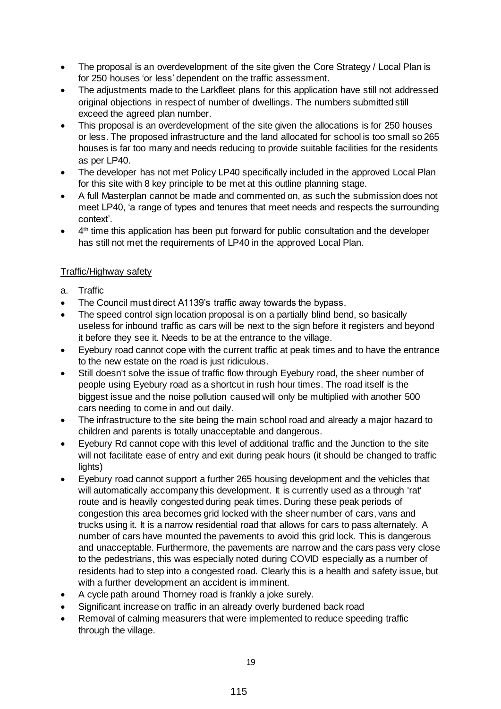- The proposal is an overdevelopment of the site given the Core Strategy / Local Plan is for 250 houses 'or less' dependent on the traffic assessment.
- The adjustments made to the Larkfleet plans for this application have still not addressed original objections in respect of number of dwellings. The numbers submitted still exceed the agreed plan number.
- This proposal is an overdevelopment of the site given the allocations is for 250 houses or less. The proposed infrastructure and the land allocated for school is too small so 265 houses is far too many and needs reducing to provide suitable facilities for the residents as per LP40.
- The developer has not met Policy LP40 specifically included in the approved Local Plan for this site with 8 key principle to be met at this outline planning stage.
- A full Masterplan cannot be made and commented on, as such the submission does not meet LP40, 'a range of types and tenures that meet needs and respects the surrounding context'.
- 4<sup>th</sup> time this application has been put forward for public consultation and the developer has still not met the requirements of LP40 in the approved Local Plan.

# Traffic/Highway safety

- a. Traffic
- The Council must direct A1139's traffic away towards the bypass.
- The speed control sign location proposal is on a partially blind bend, so basically useless for inbound traffic as cars will be next to the sign before it registers and beyond it before they see it. Needs to be at the entrance to the village.
- Eyebury road cannot cope with the current traffic at peak times and to have the entrance to the new estate on the road is just ridiculous.
- Still doesn't solve the issue of traffic flow through Eyebury road, the sheer number of people using Eyebury road as a shortcut in rush hour times. The road itself is the biggest issue and the noise pollution caused will only be multiplied with another 500 cars needing to come in and out daily.
- The infrastructure to the site being the main school road and already a major hazard to children and parents is totally unacceptable and dangerous.
- Eyebury Rd cannot cope with this level of additional traffic and the Junction to the site will not facilitate ease of entry and exit during peak hours (it should be changed to traffic lights)
- Eyebury road cannot support a further 265 housing development and the vehicles that will automatically accompany this development. It is currently used as a through 'rat' route and is heavily congested during peak times. During these peak periods of congestion this area becomes grid locked with the sheer number of cars, vans and trucks using it. It is a narrow residential road that allows for cars to pass alternately. A number of cars have mounted the pavements to avoid this grid lock. This is dangerous and unacceptable. Furthermore, the pavements are narrow and the cars pass very close to the pedestrians, this was especially noted during COVID especially as a number of residents had to step into a congested road. Clearly this is a health and safety issue, but with a further development an accident is imminent.
- A cycle path around Thorney road is frankly a joke surely.
- Significant increase on traffic in an already overly burdened back road
- Removal of calming measurers that were implemented to reduce speeding traffic through the village.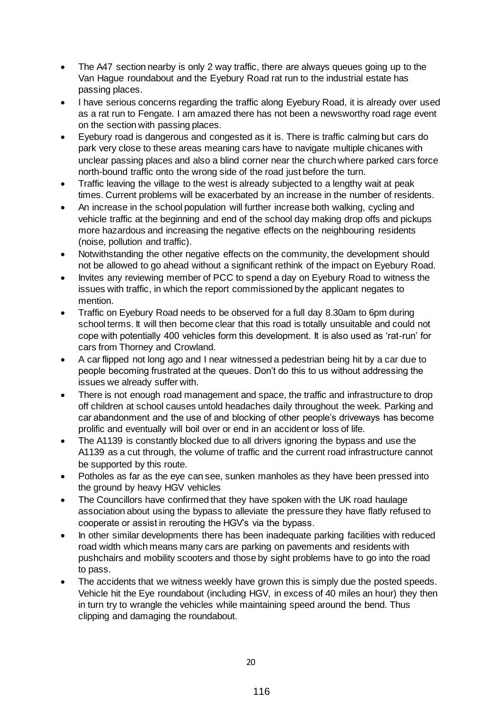- The A47 section nearby is only 2 way traffic, there are always queues going up to the Van Hague roundabout and the Eyebury Road rat run to the industrial estate has passing places.
- I have serious concerns regarding the traffic along Eyebury Road, it is already over used as a rat run to Fengate. I am amazed there has not been a newsworthy road rage event on the section with passing places.
- Eyebury road is dangerous and congested as it is. There is traffic calming but cars do park very close to these areas meaning cars have to navigate multiple chicanes with unclear passing places and also a blind corner near the church where parked cars force north-bound traffic onto the wrong side of the road just before the turn.
- Traffic leaving the village to the west is already subjected to a lengthy wait at peak times. Current problems will be exacerbated by an increase in the number of residents.
- An increase in the school population will further increase both walking, cycling and vehicle traffic at the beginning and end of the school day making drop offs and pickups more hazardous and increasing the negative effects on the neighbouring residents (noise, pollution and traffic).
- Notwithstanding the other negative effects on the community, the development should not be allowed to go ahead without a significant rethink of the impact on Eyebury Road.
- Invites any reviewing member of PCC to spend a day on Eyebury Road to witness the issues with traffic, in which the report commissioned by the applicant negates to mention.
- Traffic on Eyebury Road needs to be observed for a full day 8.30am to 6pm during school terms. It will then become clear that this road is totally unsuitable and could not cope with potentially 400 vehicles form this development. It is also used as 'rat-run' for cars from Thorney and Crowland.
- A car flipped not long ago and I near witnessed a pedestrian being hit by a car due to people becoming frustrated at the queues. Don't do this to us without addressing the issues we already suffer with.
- There is not enough road management and space, the traffic and infrastructure to drop off children at school causes untold headaches daily throughout the week. Parking and car abandonment and the use of and blocking of other people's driveways has become prolific and eventually will boil over or end in an accident or loss of life.
- The A1139 is constantly blocked due to all drivers ignoring the bypass and use the A1139 as a cut through, the volume of traffic and the current road infrastructure cannot be supported by this route.
- Potholes as far as the eye can see, sunken manholes as they have been pressed into the ground by heavy HGV vehicles
- The Councillors have confirmed that they have spoken with the UK road haulage association about using the bypass to alleviate the pressure they have flatly refused to cooperate or assist in rerouting the HGV's via the bypass.
- In other similar developments there has been inadequate parking facilities with reduced road width which means many cars are parking on pavements and residents with pushchairs and mobility scooters and those by sight problems have to go into the road to pass.
- The accidents that we witness weekly have grown this is simply due the posted speeds. Vehicle hit the Eye roundabout (including HGV, in excess of 40 miles an hour) they then in turn try to wrangle the vehicles while maintaining speed around the bend. Thus clipping and damaging the roundabout.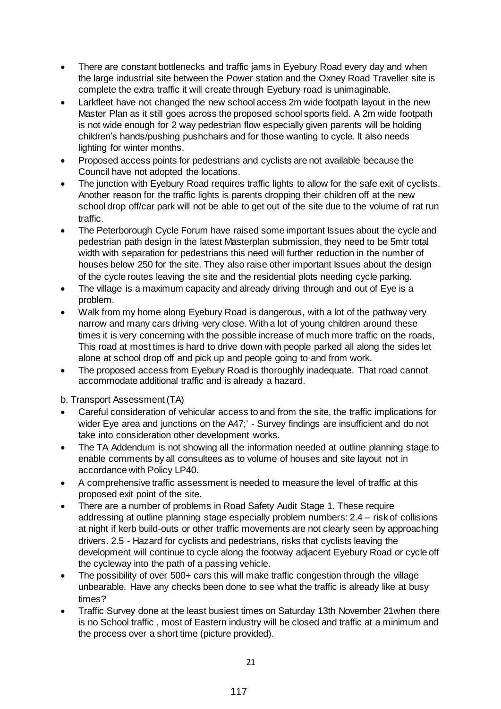- There are constant bottlenecks and traffic jams in Eyebury Road every day and when the large industrial site between the Power station and the Oxney Road Traveller site is complete the extra traffic it will create through Eyebury road is unimaginable.
- Larkfleet have not changed the new school access 2m wide footpath layout in the new Master Plan as it still goes across the proposed school sports field. A 2m wide footpath is not wide enough for 2 way pedestrian flow especially given parents will be holding children's hands/pushing pushchairs and for those wanting to cycle. It also needs lighting for winter months.
- Proposed access points for pedestrians and cyclists are not available because the Council have not adopted the locations.
- The junction with Eyebury Road requires traffic lights to allow for the safe exit of cyclists. Another reason for the traffic lights is parents dropping their children off at the new school drop off/car park will not be able to get out of the site due to the volume of rat run traffic.
- The Peterborough Cycle Forum have raised some important Issues about the cycle and pedestrian path design in the latest Masterplan submission, they need to be 5mtr total width with separation for pedestrians this need will further reduction in the number of houses below 250 for the site. They also raise other important Issues about the design of the cycle routes leaving the site and the residential plots needing cycle parking.
- The village is a maximum capacity and already driving through and out of Eye is a problem.
- Walk from my home along Eyebury Road is dangerous, with a lot of the pathway very narrow and many cars driving very close. With a lot of young children around these times it is very concerning with the possible increase of much more traffic on the roads, This road at most times is hard to drive down with people parked all along the sides let alone at school drop off and pick up and people going to and from work.
- The proposed access from Eyebury Road is thoroughly inadequate. That road cannot accommodate additional traffic and is already a hazard.
- b. Transport Assessment (TA)
- Careful consideration of vehicular access to and from the site, the traffic implications for wider Eye area and junctions on the A47;' - Survey findings are insufficient and do not take into consideration other development works.
- The TA Addendum is not showing all the information needed at outline planning stage to enable comments by all consultees as to volume of houses and site layout not in accordance with Policy LP40.
- A comprehensive traffic assessment is needed to measure the level of traffic at this proposed exit point of the site.
- There are a number of problems in Road Safety Audit Stage 1. These require addressing at outline planning stage especially problem numbers: 2.4 – risk of collisions at night if kerb build-outs or other traffic movements are not clearly seen by approaching drivers. 2.5 - Hazard for cyclists and pedestrians, risks that cyclists leaving the development will continue to cycle along the footway adjacent Eyebury Road or cycle off the cycleway into the path of a passing vehicle.
- The possibility of over 500+ cars this will make traffic congestion through the village unbearable. Have any checks been done to see what the traffic is already like at busy times?
- Traffic Survey done at the least busiest times on Saturday 13th November 21 when there is no School traffic , most of Eastern industry will be closed and traffic at a minimum and the process over a short time (picture provided).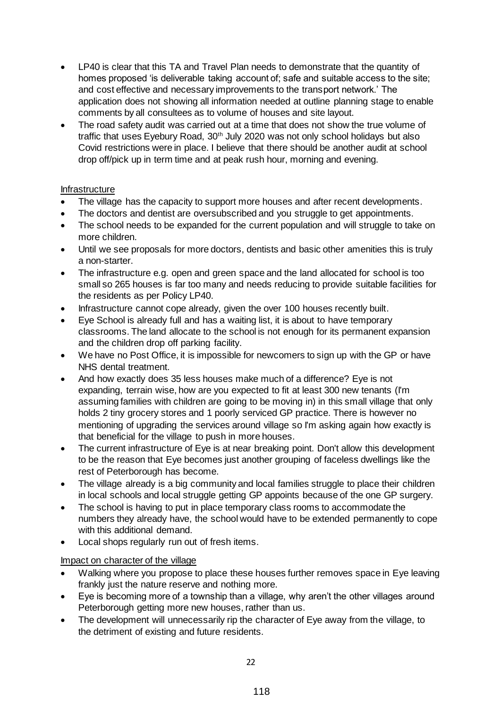- LP40 is clear that this TA and Travel Plan needs to demonstrate that the quantity of homes proposed 'is deliverable taking account of; safe and suitable access to the site; and cost effective and necessary improvements to the transport network.' The application does not showing all information needed at outline planning stage to enable comments by all consultees as to volume of houses and site layout.
- The road safety audit was carried out at a time that does not show the true volume of traffic that uses Eyebury Road, 30<sup>th</sup> July 2020 was not only school holidays but also Covid restrictions were in place. I believe that there should be another audit at school drop off/pick up in term time and at peak rush hour, morning and evening.

# Infrastructure

- The village has the capacity to support more houses and after recent developments.
- The doctors and dentist are oversubscribed and you struggle to get appointments.
- The school needs to be expanded for the current population and will struggle to take on more children.
- Until we see proposals for more doctors, dentists and basic other amenities this is truly a non-starter.
- The infrastructure e.g. open and green space and the land allocated for school is too small so 265 houses is far too many and needs reducing to provide suitable facilities for the residents as per Policy LP40.
- Infrastructure cannot cope already, given the over 100 houses recently built.
- Eye School is already full and has a waiting list, it is about to have temporary classrooms. The land allocate to the school is not enough for its permanent expansion and the children drop off parking facility.
- We have no Post Office, it is impossible for newcomers to sign up with the GP or have NHS dental treatment.
- And how exactly does 35 less houses make much of a difference? Eye is not expanding, terrain wise, how are you expected to fit at least 300 new tenants (I'm assuming families with children are going to be moving in) in this small village that only holds 2 tiny grocery stores and 1 poorly serviced GP practice. There is however no mentioning of upgrading the services around village so I'm asking again how exactly is that beneficial for the village to push in more houses.
- The current infrastructure of Eye is at near breaking point. Don't allow this development to be the reason that Eye becomes just another grouping of faceless dwellings like the rest of Peterborough has become.
- The village already is a big community and local families struggle to place their children in local schools and local struggle getting GP appoints because of the one GP surgery.
- The school is having to put in place temporary class rooms to accommodate the numbers they already have, the school would have to be extended permanently to cope with this additional demand.
- Local shops regularly run out of fresh items.

# Impact on character of the village

- Walking where you propose to place these houses further removes space in Eye leaving frankly just the nature reserve and nothing more.
- Eye is becoming more of a township than a village, why aren't the other villages around Peterborough getting more new houses, rather than us.
- The development will unnecessarily rip the character of Eye away from the village, to the detriment of existing and future residents.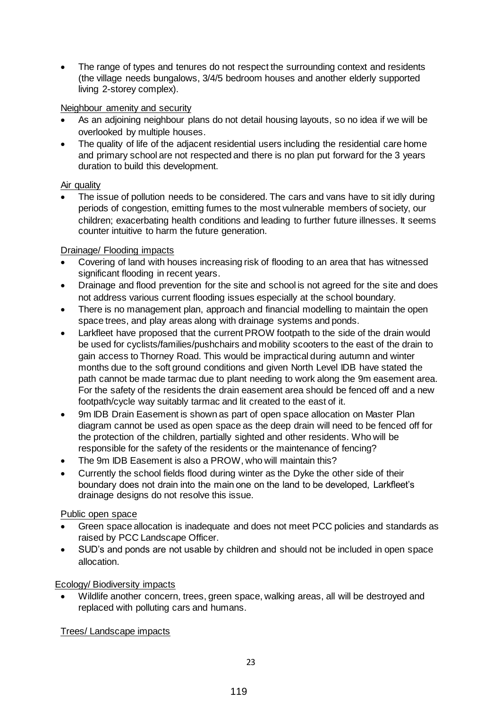The range of types and tenures do not respect the surrounding context and residents (the village needs bungalows, 3/4/5 bedroom houses and another elderly supported living 2-storey complex).

### Neighbour amenity and security

- As an adjoining neighbour plans do not detail housing layouts, so no idea if we will be overlooked by multiple houses.
- The quality of life of the adjacent residential users including the residential care home and primary school are not respected and there is no plan put forward for the 3 years duration to build this development.

### Air quality

 The issue of pollution needs to be considered. The cars and vans have to sit idly during periods of congestion, emitting fumes to the most vulnerable members of society, our children; exacerbating health conditions and leading to further future illnesses. It seems counter intuitive to harm the future generation.

# Drainage/ Flooding impacts

- Covering of land with houses increasing risk of flooding to an area that has witnessed significant flooding in recent years.
- Drainage and flood prevention for the site and school is not agreed for the site and does not address various current flooding issues especially at the school boundary.
- There is no management plan, approach and financial modelling to maintain the open space trees, and play areas along with drainage systems and ponds.
- Larkfleet have proposed that the current PROW footpath to the side of the drain would be used for cyclists/families/pushchairs and mobility scooters to the east of the drain to gain access to Thorney Road. This would be impractical during autumn and winter months due to the soft ground conditions and given North Level IDB have stated the path cannot be made tarmac due to plant needing to work along the 9m easement area. For the safety of the residents the drain easement area should be fenced off and a new footpath/cycle way suitably tarmac and lit created to the east of it.
- 9m IDB Drain Easement is shown as part of open space allocation on Master Plan diagram cannot be used as open space as the deep drain will need to be fenced off for the protection of the children, partially sighted and other residents. Who will be responsible for the safety of the residents or the maintenance of fencing?
- The 9m IDB Easement is also a PROW, who will maintain this?
- Currently the school fields flood during winter as the Dyke the other side of their boundary does not drain into the main one on the land to be developed, Larkfleet's drainage designs do not resolve this issue.

# Public open space

- Green space allocation is inadequate and does not meet PCC policies and standards as raised by PCC Landscape Officer.
- SUD's and ponds are not usable by children and should not be included in open space allocation.

# Ecology/ Biodiversity impacts

 Wildlife another concern, trees, green space, walking areas, all will be destroyed and replaced with polluting cars and humans.

Trees/ Landscape impacts